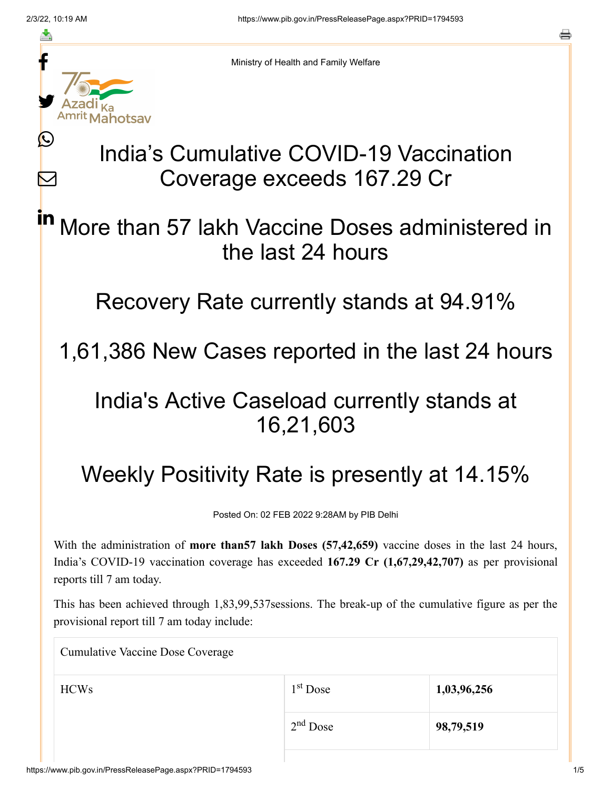≛

Ŀ

 $\bm{\nabla}$ 



Ministry of Health and Family Welfare

# India's Cumulative COVID-19 Vaccination Coverage exceeds 167.29 Cr

### More than 57 lakh Vaccine Doses administered in the last 24 hours in

Recovery Rate currently stands at 94.91%

### 1,61,386 New Cases reported in the last 24 hours

## India's Active Caseload currently stands at 16,21,603

# Weekly Positivity Rate is presently at 14.15%

Posted On: 02 FEB 2022 9:28AM by PIB Delhi

With the administration of **more than57 lakh Doses (57,42,659)** vaccine doses in the last 24 hours, India's COVID-19 vaccination coverage has exceeded **167.29 Cr (1,67,29,42,707)** as per provisional reports till 7 am today.

This has been achieved through 1,83,99,537sessions. The break-up of the cumulative figure as per the provisional report till 7 am today include:

Cumulative Vaccine Dose Coverage

| <b>HCWs</b> | $1st$ Dose | 1,03,96,256 |
|-------------|------------|-------------|
|             | $2nd$ Dose | 98,79,519   |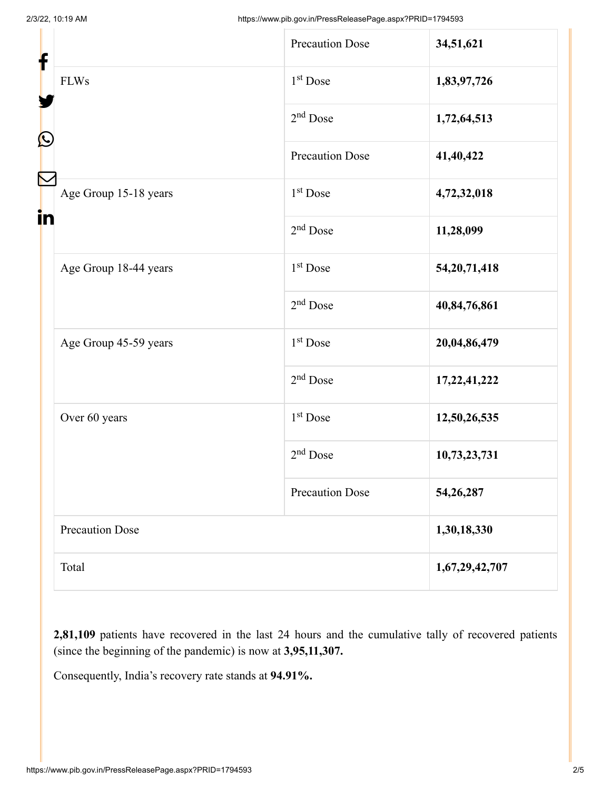| f<br>$\mathbf{\Omega}$ |                        | <b>Precaution Dose</b> | 34,51,621       |
|------------------------|------------------------|------------------------|-----------------|
|                        | <b>FLWs</b>            | $1st$ Dose             | 1,83,97,726     |
|                        |                        | $2nd$ Dose             | 1,72,64,513     |
|                        |                        | <b>Precaution Dose</b> | 41,40,422       |
| in                     | Age Group 15-18 years  | $1st$ Dose             | 4,72,32,018     |
|                        |                        | $2nd$ Dose             | 11,28,099       |
|                        | Age Group 18-44 years  | $1st$ Dose             | 54, 20, 71, 418 |
|                        |                        | $2nd$ Dose             | 40,84,76,861    |
|                        | Age Group 45-59 years  | $1st$ Dose             | 20,04,86,479    |
|                        |                        | $2nd$ Dose             | 17, 22, 41, 222 |
|                        | Over 60 years          | $1st$ Dose             | 12,50,26,535    |
|                        |                        | $2nd$ Dose             | 10,73,23,731    |
|                        |                        | <b>Precaution Dose</b> | 54,26,287       |
|                        | <b>Precaution Dose</b> |                        | 1,30,18,330     |
|                        | Total                  |                        | 1,67,29,42,707  |

**2,81,109** patients have recovered in the last 24 hours and the cumulative tally of recovered patients (since the beginning of the pandemic) is now at **3,95,11,307.**

Consequently, India's recovery rate stands at **94.91%.**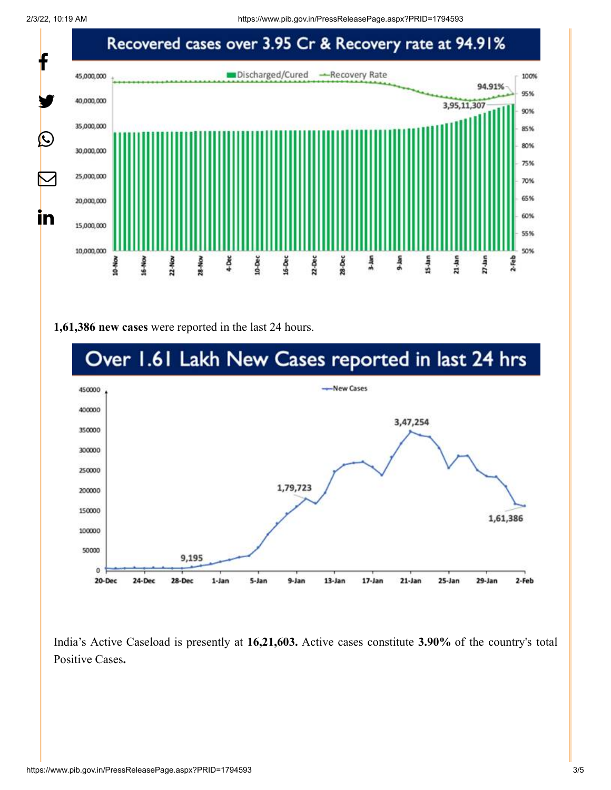2/3/22, 10:19 AM https://www.pib.gov.in/PressReleasePage.aspx?PRID=1794593



#### **1,61,386 new cases** were reported in the last 24 hours.



India's Active Caseload is presently at **16,21,603.** Active cases constitute **3.90%** of the country's total Positive Cases**.**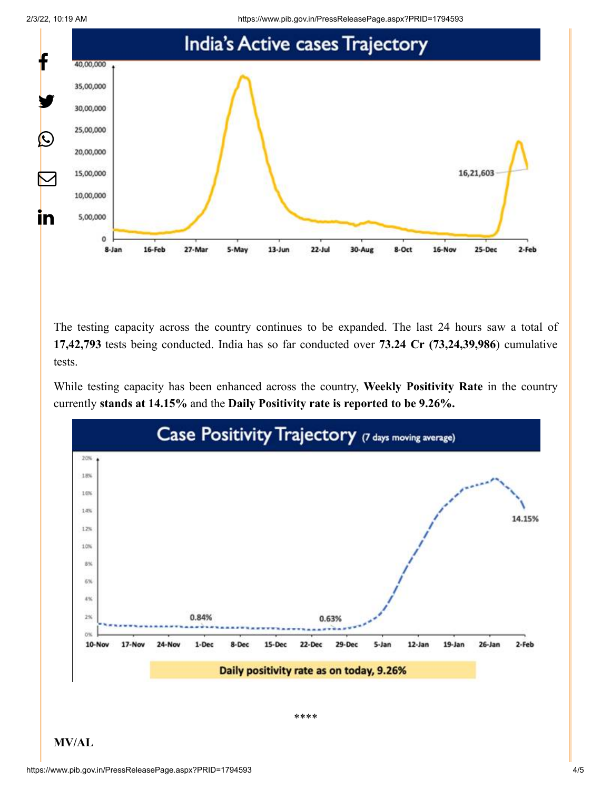2/3/22, 10:19 AM https://www.pib.gov.in/PressReleasePage.aspx?PRID=1794593



The testing capacity across the country continues to be expanded. The last 24 hours saw a total of **17,42,793** tests being conducted. India has so far conducted over **73.24 Cr (73,24,39,986**) cumulative tests.

While testing capacity has been enhanced across the country, **Weekly Positivity Rate** in the country currently **stands at 14.15%** and the **Daily Positivity rate is reported to be 9.26%.**